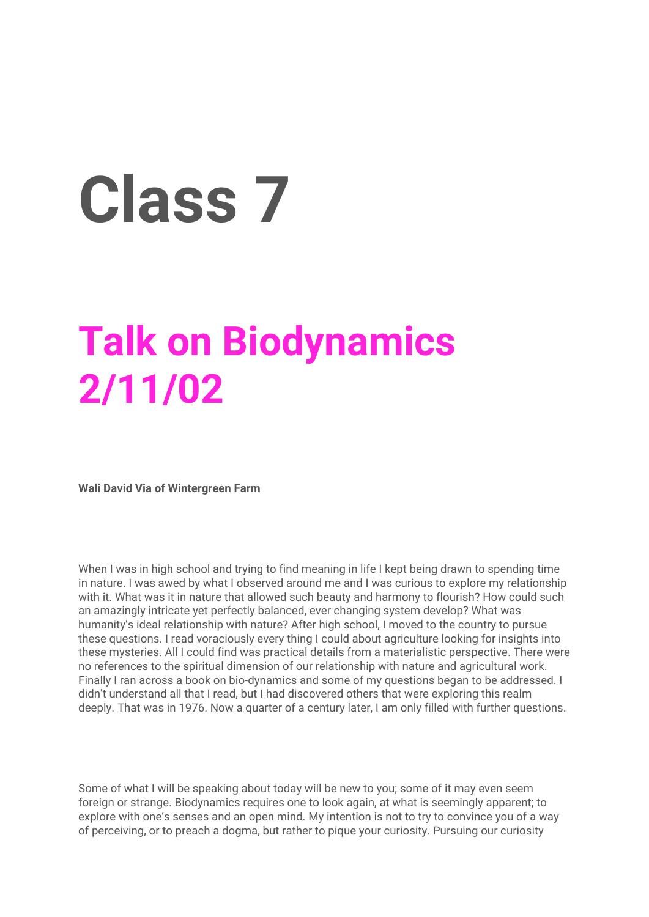## **Class 7**

## **Talk on Biodynamics 2/11/02**

**Wali David Via of Wintergreen Farm**

When I was in high school and trying to find meaning in life I kept being drawn to spending time in nature. I was awed by what I observed around me and I was curious to explore my relationship with it. What was it in nature that allowed such beauty and harmony to flourish? How could such an amazingly intricate yet perfectly balanced, ever changing system develop? What was humanity's ideal relationship with nature? After high school, I moved to the country to pursue these questions. I read voraciously every thing I could about agriculture looking for insights into these mysteries. All I could find was practical details from a materialistic perspective. There were no references to the spiritual dimension of our relationship with nature and agricultural work. Finally I ran across a book on bio-dynamics and some of my questions began to be addressed. I didn't understand all that I read, but I had discovered others that were exploring this realm deeply. That was in 1976. Now a quarter of a century later, I am only filled with further questions.

Some of what I will be speaking about today will be new to you; some of it may even seem foreign or strange. Biodynamics requires one to look again, at what is seemingly apparent; to explore with one's senses and an open mind. My intention is not to try to convince you of a way of perceiving, or to preach a dogma, but rather to pique your curiosity. Pursuing our curiosity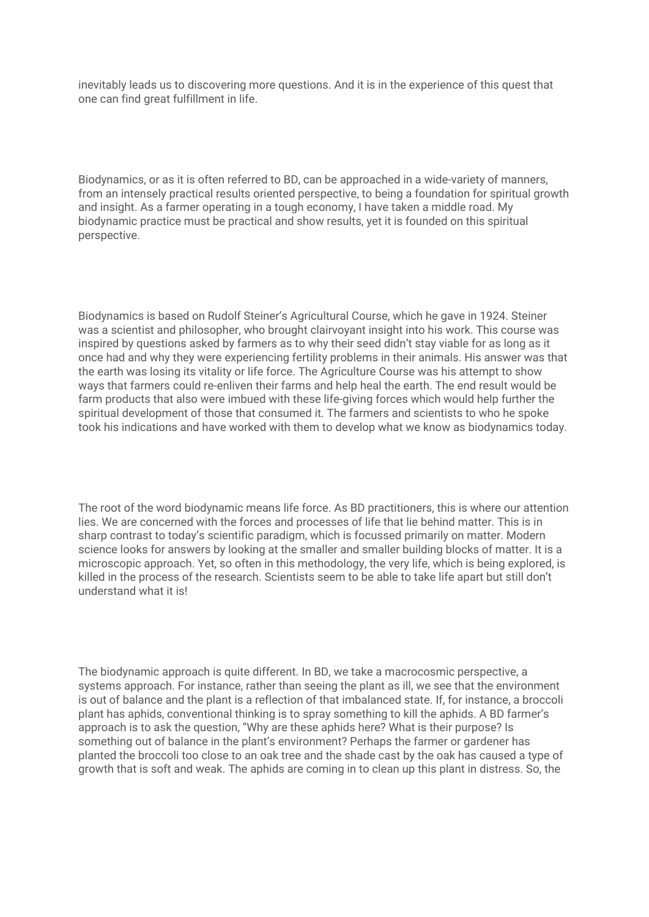inevitably leads us to discovering more questions. And it is in the experience of this quest that one can find great fulfillment in life.

Biodynamics, or as it is often referred to BD, can be approached in a wide-variety of manners, from an intensely practical results oriented perspective, to being a foundation for spiritual growth and insight. As a farmer operating in a tough economy, I have taken a middle road. My biodynamic practice must be practical and show results, yet it is founded on this spiritual perspective.

Biodynamics is based on Rudolf Steiner's Agricultural Course, which he gave in 1924. Steiner was a scientist and philosopher, who brought clairvoyant insight into his work. This course was inspired by questions asked by farmers as to why their seed didn't stay viable for as long as it once had and why they were experiencing fertility problems in their animals. His answer was that the earth was losing its vitality or life force. The Agriculture Course was his attempt to show ways that farmers could re-enliven their farms and help heal the earth. The end result would be farm products that also were imbued with these life-giving forces which would help further the spiritual development of those that consumed it. The farmers and scientists to who he spoke took his indications and have worked with them to develop what we know as biodynamics today.

The root of the word biodynamic means life force. As BD practitioners, this is where our attention lies. We are concerned with the forces and processes of life that lie behind matter. This is in sharp contrast to today's scientific paradigm, which is focussed primarily on matter. Modern science looks for answers by looking at the smaller and smaller building blocks of matter. It is a microscopic approach. Yet, so often in this methodology, the very life, which is being explored, is killed in the process of the research. Scientists seem to be able to take life apart but still don't understand what it is!

The biodynamic approach is quite different. In BD, we take a macrocosmic perspective, a systems approach. For instance, rather than seeing the plant as ill, we see that the environment is out of balance and the plant is a reflection of that imbalanced state. If, for instance, a broccoli plant has aphids, conventional thinking is to spray something to kill the aphids. A BD farmer's approach is to ask the question, "Why are these aphids here? What is their purpose? Is something out of balance in the plant's environment? Perhaps the farmer or gardener has planted the broccoli too close to an oak tree and the shade cast by the oak has caused a type of growth that is soft and weak. The aphids are coming in to clean up this plant in distress. So, the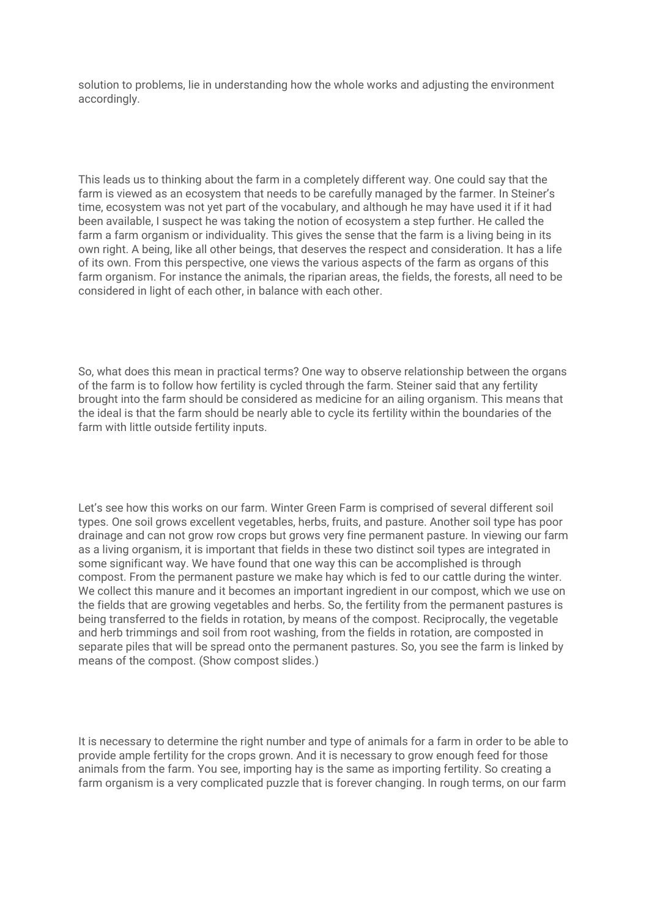solution to problems, lie in understanding how the whole works and adjusting the environment accordingly.

This leads us to thinking about the farm in a completely different way. One could say that the farm is viewed as an ecosystem that needs to be carefully managed by the farmer. In Steiner's time, ecosystem was not yet part of the vocabulary, and although he may have used it if it had been available, I suspect he was taking the notion of ecosystem a step further. He called the farm a farm organism or individuality. This gives the sense that the farm is a living being in its own right. A being, like all other beings, that deserves the respect and consideration. It has a life of its own. From this perspective, one views the various aspects of the farm as organs of this farm organism. For instance the animals, the riparian areas, the fields, the forests, all need to be considered in light of each other, in balance with each other.

So, what does this mean in practical terms? One way to observe relationship between the organs of the farm is to follow how fertility is cycled through the farm. Steiner said that any fertility brought into the farm should be considered as medicine for an ailing organism. This means that the ideal is that the farm should be nearly able to cycle its fertility within the boundaries of the farm with little outside fertility inputs.

Let's see how this works on our farm. Winter Green Farm is comprised of several different soil types. One soil grows excellent vegetables, herbs, fruits, and pasture. Another soil type has poor drainage and can not grow row crops but grows very fine permanent pasture. In viewing our farm as a living organism, it is important that fields in these two distinct soil types are integrated in some significant way. We have found that one way this can be accomplished is through compost. From the permanent pasture we make hay which is fed to our cattle during the winter. We collect this manure and it becomes an important ingredient in our compost, which we use on the fields that are growing vegetables and herbs. So, the fertility from the permanent pastures is being transferred to the fields in rotation, by means of the compost. Reciprocally, the vegetable and herb trimmings and soil from root washing, from the fields in rotation, are composted in separate piles that will be spread onto the permanent pastures. So, you see the farm is linked by means of the compost. (Show compost slides.)

It is necessary to determine the right number and type of animals for a farm in order to be able to provide ample fertility for the crops grown. And it is necessary to grow enough feed for those animals from the farm. You see, importing hay is the same as importing fertility. So creating a farm organism is a very complicated puzzle that is forever changing. In rough terms, on our farm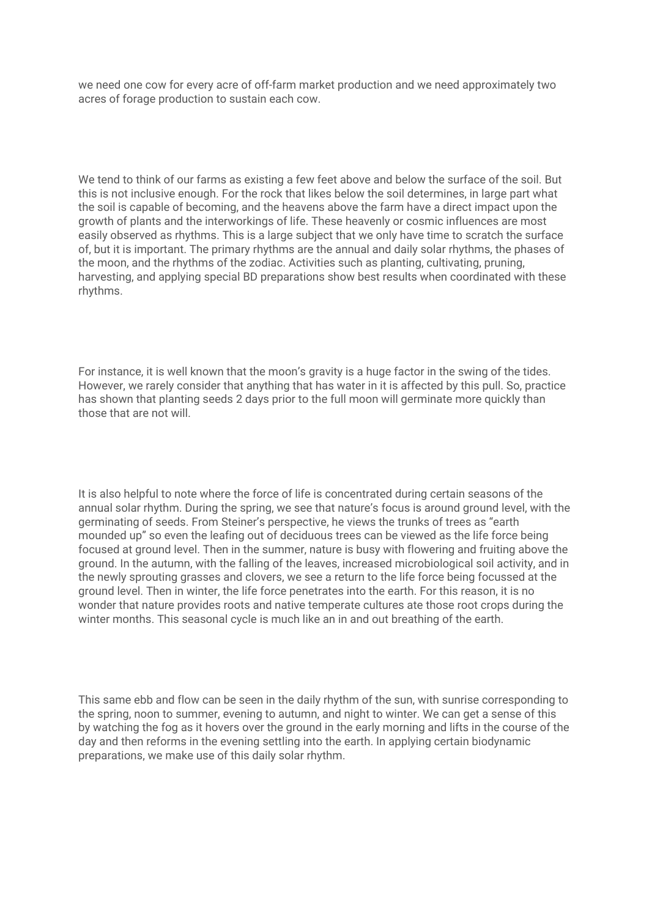we need one cow for every acre of off-farm market production and we need approximately two acres of forage production to sustain each cow.

We tend to think of our farms as existing a few feet above and below the surface of the soil. But this is not inclusive enough. For the rock that likes below the soil determines, in large part what the soil is capable of becoming, and the heavens above the farm have a direct impact upon the growth of plants and the interworkings of life. These heavenly or cosmic influences are most easily observed as rhythms. This is a large subject that we only have time to scratch the surface of, but it is important. The primary rhythms are the annual and daily solar rhythms, the phases of the moon, and the rhythms of the zodiac. Activities such as planting, cultivating, pruning, harvesting, and applying special BD preparations show best results when coordinated with these rhythms.

For instance, it is well known that the moon's gravity is a huge factor in the swing of the tides. However, we rarely consider that anything that has water in it is affected by this pull. So, practice has shown that planting seeds 2 days prior to the full moon will germinate more quickly than those that are not will.

It is also helpful to note where the force of life is concentrated during certain seasons of the annual solar rhythm. During the spring, we see that nature's focus is around ground level, with the germinating of seeds. From Steiner's perspective, he views the trunks of trees as "earth mounded up" so even the leafing out of deciduous trees can be viewed as the life force being focused at ground level. Then in the summer, nature is busy with flowering and fruiting above the ground. In the autumn, with the falling of the leaves, increased microbiological soil activity, and in the newly sprouting grasses and clovers, we see a return to the life force being focussed at the ground level. Then in winter, the life force penetrates into the earth. For this reason, it is no wonder that nature provides roots and native temperate cultures ate those root crops during the winter months. This seasonal cycle is much like an in and out breathing of the earth.

This same ebb and flow can be seen in the daily rhythm of the sun, with sunrise corresponding to the spring, noon to summer, evening to autumn, and night to winter. We can get a sense of this by watching the fog as it hovers over the ground in the early morning and lifts in the course of the day and then reforms in the evening settling into the earth. In applying certain biodynamic preparations, we make use of this daily solar rhythm.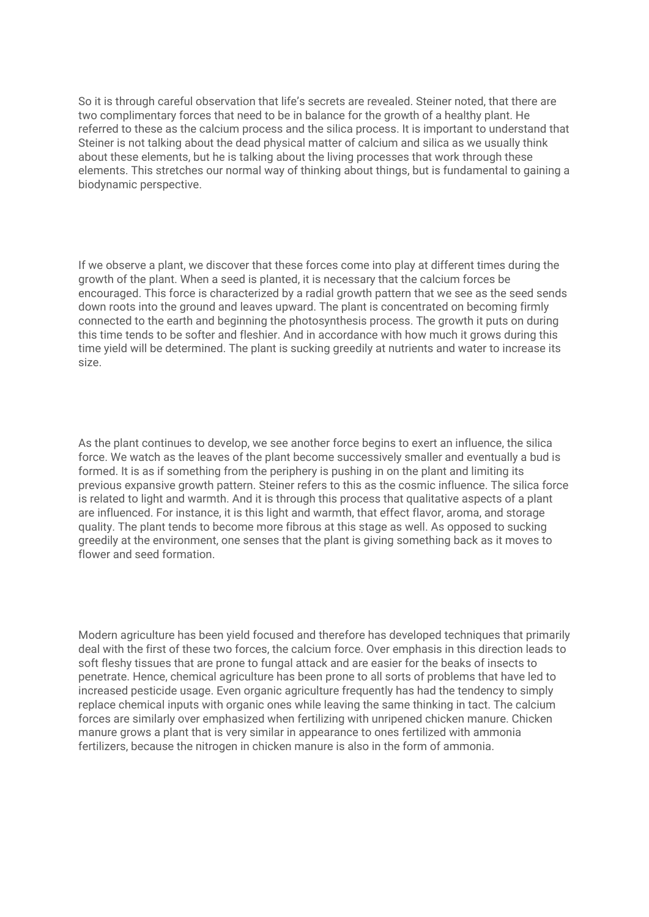So it is through careful observation that life's secrets are revealed. Steiner noted, that there are two complimentary forces that need to be in balance for the growth of a healthy plant. He referred to these as the calcium process and the silica process. It is important to understand that Steiner is not talking about the dead physical matter of calcium and silica as we usually think about these elements, but he is talking about the living processes that work through these elements. This stretches our normal way of thinking about things, but is fundamental to gaining a biodynamic perspective.

If we observe a plant, we discover that these forces come into play at different times during the growth of the plant. When a seed is planted, it is necessary that the calcium forces be encouraged. This force is characterized by a radial growth pattern that we see as the seed sends down roots into the ground and leaves upward. The plant is concentrated on becoming firmly connected to the earth and beginning the photosynthesis process. The growth it puts on during this time tends to be softer and fleshier. And in accordance with how much it grows during this time yield will be determined. The plant is sucking greedily at nutrients and water to increase its size.

As the plant continues to develop, we see another force begins to exert an influence, the silica force. We watch as the leaves of the plant become successively smaller and eventually a bud is formed. It is as if something from the periphery is pushing in on the plant and limiting its previous expansive growth pattern. Steiner refers to this as the cosmic influence. The silica force is related to light and warmth. And it is through this process that qualitative aspects of a plant are influenced. For instance, it is this light and warmth, that effect flavor, aroma, and storage quality. The plant tends to become more fibrous at this stage as well. As opposed to sucking greedily at the environment, one senses that the plant is giving something back as it moves to flower and seed formation.

Modern agriculture has been yield focused and therefore has developed techniques that primarily deal with the first of these two forces, the calcium force. Over emphasis in this direction leads to soft fleshy tissues that are prone to fungal attack and are easier for the beaks of insects to penetrate. Hence, chemical agriculture has been prone to all sorts of problems that have led to increased pesticide usage. Even organic agriculture frequently has had the tendency to simply replace chemical inputs with organic ones while leaving the same thinking in tact. The calcium forces are similarly over emphasized when fertilizing with unripened chicken manure. Chicken manure grows a plant that is very similar in appearance to ones fertilized with ammonia fertilizers, because the nitrogen in chicken manure is also in the form of ammonia.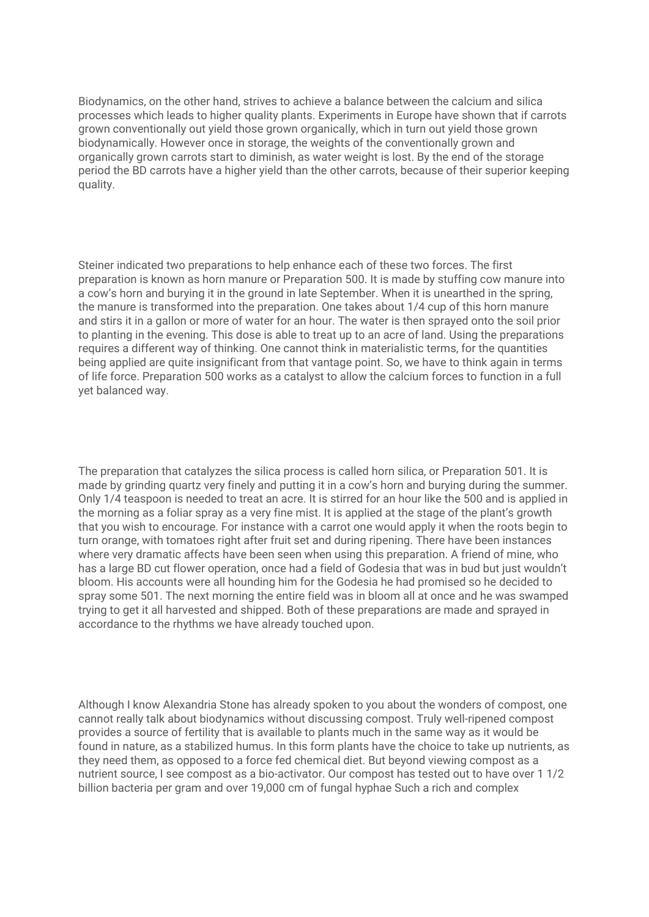Biodynamics, on the other hand, strives to achieve a balance between the calcium and silica processes which leads to higher quality plants. Experiments in Europe have shown that if carrots grown conventionally out yield those grown organically, which in turn out yield those grown biodynamically. However once in storage, the weights of the conventionally grown and organically grown carrots start to diminish, as water weight is lost. By the end of the storage period the BD carrots have a higher yield than the other carrots, because of their superior keeping quality.

Steiner indicated two preparations to help enhance each of these two forces. The first preparation is known as horn manure or Preparation 500. It is made by stuffing cow manure into a cow's horn and burying it in the ground in late September. When it is unearthed in the spring, the manure is transformed into the preparation. One takes about 1/4 cup of this horn manure and stirs it in a gallon or more of water for an hour. The water is then sprayed onto the soil prior to planting in the evening. This dose is able to treat up to an acre of land. Using the preparations requires a different way of thinking. One cannot think in materialistic terms, for the quantities being applied are quite insignificant from that vantage point. So, we have to think again in terms of life force. Preparation 500 works as a catalyst to allow the calcium forces to function in a full yet balanced way.

The preparation that catalyzes the silica process is called horn silica, or Preparation 501. It is made by grinding quartz very finely and putting it in a cow's horn and burying during the summer. Only 1/4 teaspoon is needed to treat an acre. It is stirred for an hour like the 500 and is applied in the morning as a foliar spray as a very fine mist. It is applied at the stage of the plant's growth that you wish to encourage. For instance with a carrot one would apply it when the roots begin to turn orange, with tomatoes right after fruit set and during ripening. There have been instances where very dramatic affects have been seen when using this preparation. A friend of mine, who has a large BD cut flower operation, once had a field of Godesia that was in bud but just wouldn't bloom. His accounts were all hounding him for the Godesia he had promised so he decided to spray some 501. The next morning the entire field was in bloom all at once and he was swamped trying to get it all harvested and shipped. Both of these preparations are made and sprayed in accordance to the rhythms we have already touched upon.

Although I know Alexandria Stone has already spoken to you about the wonders of compost, one cannot really talk about biodynamics without discussing compost. Truly well-ripened compost provides a source of fertility that is available to plants much in the same way as it would be found in nature, as a stabilized humus. In this form plants have the choice to take up nutrients, as they need them, as opposed to a force fed chemical diet. But beyond viewing compost as a nutrient source, I see compost as a bio-activator. Our compost has tested out to have over 1 1/2 billion bacteria per gram and over 19,000 cm of fungal hyphae Such a rich and complex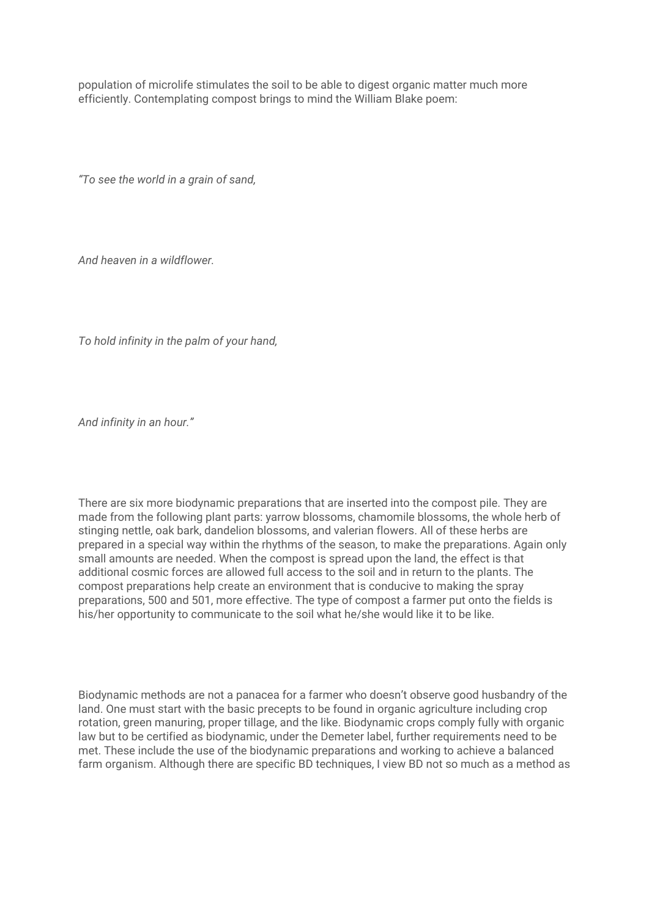population of microlife stimulates the soil to be able to digest organic matter much more efficiently. Contemplating compost brings to mind the William Blake poem:

*"To see the world in a grain of sand,*

*And heaven in a wildflower.*

*To hold infinity in the palm of your hand,*

*And infinity in an hour."*

There are six more biodynamic preparations that are inserted into the compost pile. They are made from the following plant parts: yarrow blossoms, chamomile blossoms, the whole herb of stinging nettle, oak bark, dandelion blossoms, and valerian flowers. All of these herbs are prepared in a special way within the rhythms of the season, to make the preparations. Again only small amounts are needed. When the compost is spread upon the land, the effect is that additional cosmic forces are allowed full access to the soil and in return to the plants. The compost preparations help create an environment that is conducive to making the spray preparations, 500 and 501, more effective. The type of compost a farmer put onto the fields is his/her opportunity to communicate to the soil what he/she would like it to be like.

Biodynamic methods are not a panacea for a farmer who doesn't observe good husbandry of the land. One must start with the basic precepts to be found in organic agriculture including crop rotation, green manuring, proper tillage, and the like. Biodynamic crops comply fully with organic law but to be certified as biodynamic, under the Demeter label, further requirements need to be met. These include the use of the biodynamic preparations and working to achieve a balanced farm organism. Although there are specific BD techniques, I view BD not so much as a method as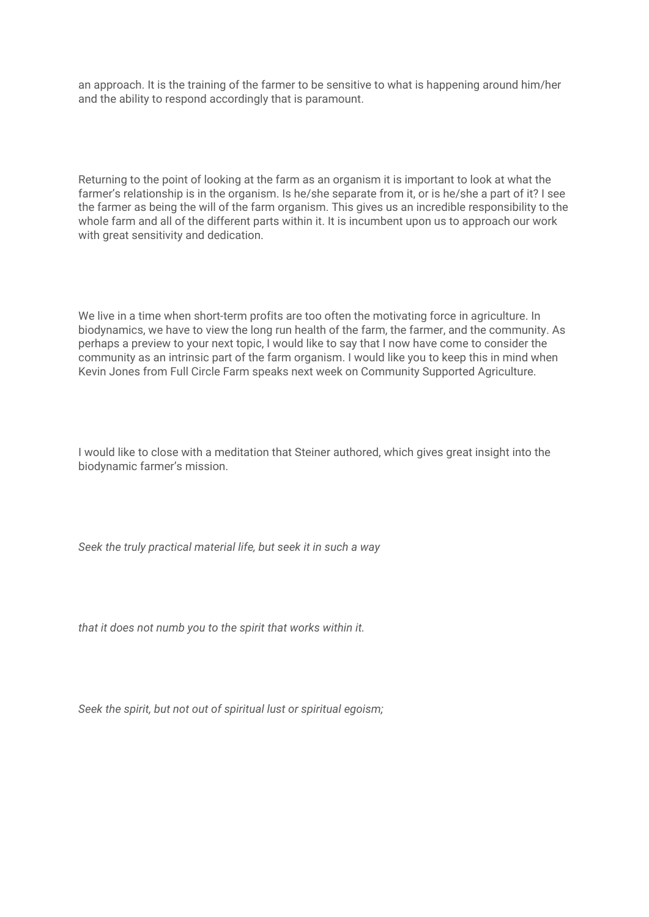an approach. It is the training of the farmer to be sensitive to what is happening around him/her and the ability to respond accordingly that is paramount.

Returning to the point of looking at the farm as an organism it is important to look at what the farmer's relationship is in the organism. Is he/she separate from it, or is he/she a part of it? I see the farmer as being the will of the farm organism. This gives us an incredible responsibility to the whole farm and all of the different parts within it. It is incumbent upon us to approach our work with great sensitivity and dedication.

We live in a time when short-term profits are too often the motivating force in agriculture. In biodynamics, we have to view the long run health of the farm, the farmer, and the community. As perhaps a preview to your next topic, I would like to say that I now have come to consider the community as an intrinsic part of the farm organism. I would like you to keep this in mind when Kevin Jones from Full Circle Farm speaks next week on Community Supported Agriculture.

I would like to close with a meditation that Steiner authored, which gives great insight into the biodynamic farmer's mission.

*Seek the truly practical material life, but seek it in such a way*

*that it does not numb you to the spirit that works within it.*

*Seek the spirit, but not out of spiritual lust or spiritual egoism;*